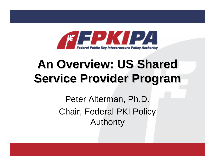

## **An Overview: US Shared Service Provider Program Service Provider Program**

Peter Alterman, Ph.D. Chair, Federal PKI Policy Authority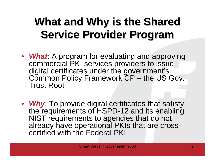### **What and Why is the Shared Service Provider Program Service Provider Program**

- *What*: A program for evaluating and approving commercial PKI services providers to issue digital certificates under the government's Common Policy Framework CP – the US Gov. Trust Root
- *Why*: To provide digital certificates that satisfy the requirements of HSPD-12 and its enabling NIST requirements to agencies that do not already have operational PKIs that are crosscertified with the Federal PKI.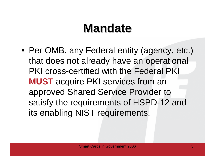## **Mandate Mandate**

• Per OMB, any Federal entity (agency, etc.) that does not already have an operational PKI cross-certified with the Federal PKI **MUST** acquire PKI services from an approved Shared Service Provider to satisfy the requirements of HSPD-12 and its enabling NIST requirements.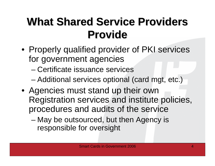### **What Shared Service Providers Provide Provide**

- Properly qualified provider of PKI services for government agencies
	- –Certificate issuance services
	- –Additional services optional (card mgt, etc.)
- Agencies must stand up their own Registration services and institute policies, procedures and audits of the service
	- – May be outsourced, but then Agency is responsible for oversight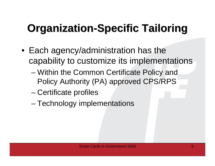## **Organization-Specific Tailoring**

- Each agency/administration has the capability to customize its implementations
	- and the state of the state Within the Common Certificate Policy and Policy Authority (PA) approved CPS/RPS
	- and the state of the state Certificate profiles
	- and the state of the state Technology implementations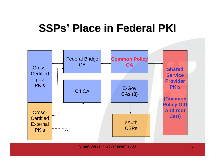#### **SSPs ' Place in Federal PKI Place in Federal PKI**

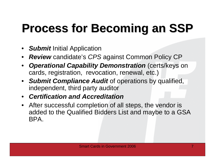# **Process for Becoming an SSP Process for Becoming an SSP**

- •*Submit* Initial Application
- •*Review* candidate's *CPS* against Common Policy CP
- •**Operational Capability Demonstration** (certs/keys on cards, registration, revocation, renewal, etc.)
- *Submit Compliance Audit* of operations by qualified, independent, third party auditor
- *Certification and Accreditation*
- After successful completion of all steps, the vendor is added to the Qualified Bidders List and maybe to a GSA BPA.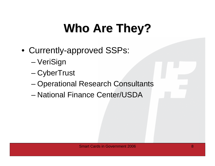# **Who Are They? Who Are They?**

- Currently-approved SSPs:
	- –VeriSign
	- and the state of the state – CyberTrust
	- and the state of the state Operational Research Consultants
	- –National Finance Center/USDA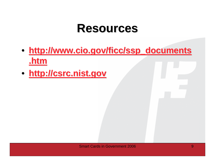#### **Resources Resources**

- **http://www.cio.gov/ficc/ssp\_documents http://www.cio.gov/ficc/ssp\_documents .htm**
- **http://csrc.nist.gov http://csrc.nist.gov**